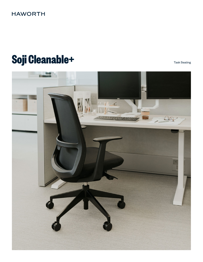## **HAWORTH**

# Soji Cleanable+ **Sould be a second of the Cleanable of the Cleaning Sould be a second of the Task Seating**